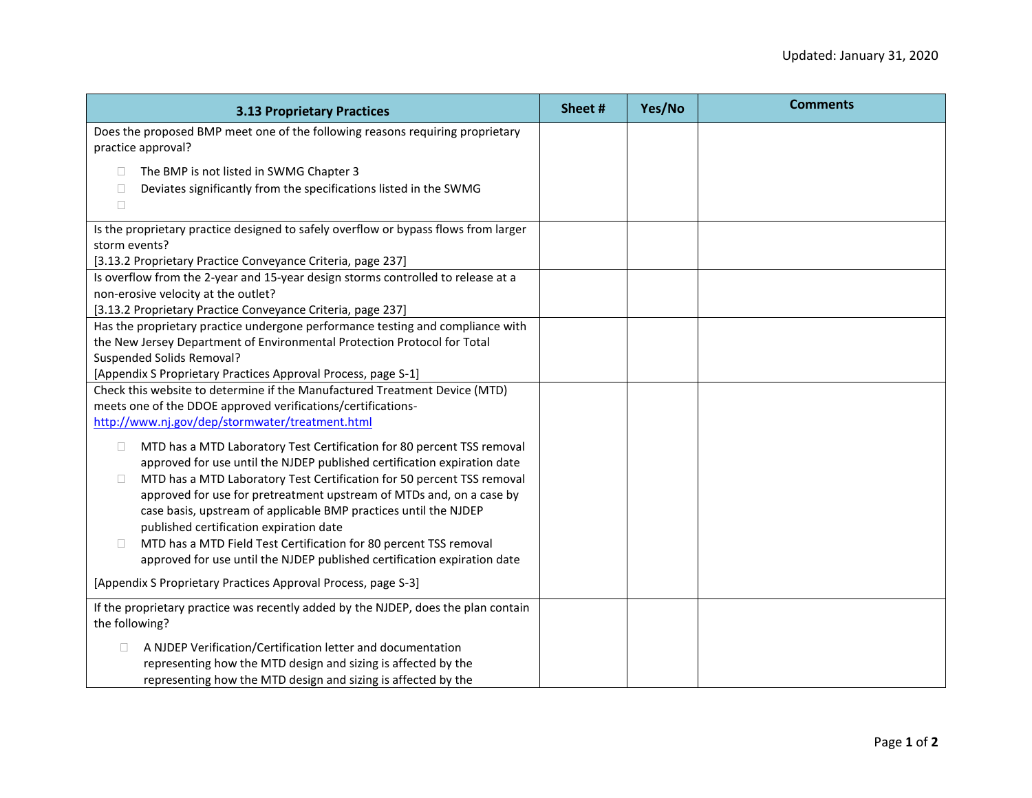| <b>3.13 Proprietary Practices</b>                                                                                                                                                                                                                                                                                                                                                                                                                                                                                                                                                             | Sheet# | Yes/No | <b>Comments</b> |
|-----------------------------------------------------------------------------------------------------------------------------------------------------------------------------------------------------------------------------------------------------------------------------------------------------------------------------------------------------------------------------------------------------------------------------------------------------------------------------------------------------------------------------------------------------------------------------------------------|--------|--------|-----------------|
| Does the proposed BMP meet one of the following reasons requiring proprietary<br>practice approval?                                                                                                                                                                                                                                                                                                                                                                                                                                                                                           |        |        |                 |
| The BMP is not listed in SWMG Chapter 3<br>$\Box$<br>Deviates significantly from the specifications listed in the SWMG<br>$\Box$<br>$\Box$                                                                                                                                                                                                                                                                                                                                                                                                                                                    |        |        |                 |
| Is the proprietary practice designed to safely overflow or bypass flows from larger<br>storm events?<br>[3.13.2 Proprietary Practice Conveyance Criteria, page 237]                                                                                                                                                                                                                                                                                                                                                                                                                           |        |        |                 |
| Is overflow from the 2-year and 15-year design storms controlled to release at a<br>non-erosive velocity at the outlet?<br>[3.13.2 Proprietary Practice Conveyance Criteria, page 237]                                                                                                                                                                                                                                                                                                                                                                                                        |        |        |                 |
| Has the proprietary practice undergone performance testing and compliance with<br>the New Jersey Department of Environmental Protection Protocol for Total<br>Suspended Solids Removal?<br>[Appendix S Proprietary Practices Approval Process, page S-1]                                                                                                                                                                                                                                                                                                                                      |        |        |                 |
| Check this website to determine if the Manufactured Treatment Device (MTD)<br>meets one of the DDOE approved verifications/certifications-<br>http://www.nj.gov/dep/stormwater/treatment.html                                                                                                                                                                                                                                                                                                                                                                                                 |        |        |                 |
| MTD has a MTD Laboratory Test Certification for 80 percent TSS removal<br>$\Box$<br>approved for use until the NJDEP published certification expiration date<br>MTD has a MTD Laboratory Test Certification for 50 percent TSS removal<br>□<br>approved for use for pretreatment upstream of MTDs and, on a case by<br>case basis, upstream of applicable BMP practices until the NJDEP<br>published certification expiration date<br>MTD has a MTD Field Test Certification for 80 percent TSS removal<br>$\Box$<br>approved for use until the NJDEP published certification expiration date |        |        |                 |
| [Appendix S Proprietary Practices Approval Process, page S-3]                                                                                                                                                                                                                                                                                                                                                                                                                                                                                                                                 |        |        |                 |
| If the proprietary practice was recently added by the NJDEP, does the plan contain<br>the following?                                                                                                                                                                                                                                                                                                                                                                                                                                                                                          |        |        |                 |
| A NJDEP Verification/Certification letter and documentation<br>representing how the MTD design and sizing is affected by the<br>representing how the MTD design and sizing is affected by the                                                                                                                                                                                                                                                                                                                                                                                                 |        |        |                 |